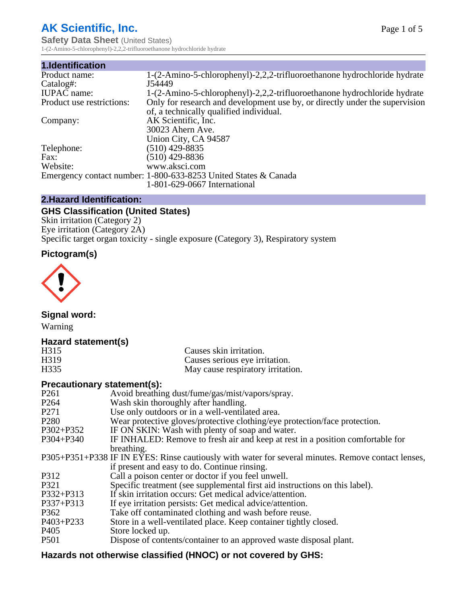# **AK Scientific, Inc.**

**Safety Data Sheet (United States)** 1-(2-Amino-5-chlorophenyl)-2,2,2-trifluoroethanone hydrochloride hydrate

| 1.Identification          |                                                                             |
|---------------------------|-----------------------------------------------------------------------------|
| Product name:             | 1-(2-Amino-5-chlorophenyl)-2,2,2-trifluoroethanone hydrochloride hydrate    |
| Catalog#:                 | J54449                                                                      |
| <b>IUPAC</b> name:        | 1-(2-Amino-5-chlorophenyl)-2,2,2-trifluoroethanone hydrochloride hydrate    |
| Product use restrictions: | Only for research and development use by, or directly under the supervision |
|                           | of, a technically qualified individual.                                     |
| Company:                  | AK Scientific, Inc.                                                         |
|                           | 30023 Ahern Ave.                                                            |
|                           | Union City, CA 94587                                                        |
| Telephone:                | $(510)$ 429-8835                                                            |
| Fax:                      | $(510)$ 429-8836                                                            |
| Website:                  | www.aksci.com                                                               |
|                           | Emergency contact number: 1-800-633-8253 United States & Canada             |
|                           | 1-801-629-0667 International                                                |

### **2.Hazard Identification:**

# **GHS Classification (United States)**

Skin irritation (Category 2) Eye irritation (Category 2A) Specific target organ toxicity - single exposure (Category 3), Respiratory system

# **Pictogram(s)**



**Signal word:**

Warning

# **Hazard statement(s)**

| H315             | Causes skin irritation.           |
|------------------|-----------------------------------|
| H <sub>319</sub> | Causes serious eye irritation.    |
| H335             | May cause respiratory irritation. |

# **Precautionary statement(s):**

| P <sub>261</sub> | Avoid breathing dust/fume/gas/mist/vapors/spray.                                                   |
|------------------|----------------------------------------------------------------------------------------------------|
| P <sub>264</sub> | Wash skin thoroughly after handling.                                                               |
| P <sub>271</sub> | Use only outdoors or in a well-ventilated area.                                                    |
| P <sub>280</sub> | Wear protective gloves/protective clothing/eye protection/face protection.                         |
| P302+P352        | IF ON SKIN: Wash with plenty of soap and water.                                                    |
| $P304 + P340$    | IF INHALED: Remove to fresh air and keep at rest in a position comfortable for                     |
|                  | breathing.                                                                                         |
|                  | P305+P351+P338 IF IN EYES: Rinse cautiously with water for several minutes. Remove contact lenses, |
|                  | if present and easy to do. Continue rinsing.                                                       |
| P312             | Call a poison center or doctor if you feel unwell.                                                 |
| P321             | Specific treatment (see supplemental first aid instructions on this label).                        |
| P332+P313        | If skin irritation occurs: Get medical advice/attention.                                           |
| P337+P313        | If eye irritation persists: Get medical advice/attention.                                          |
| P362             | Take off contaminated clothing and wash before reuse.                                              |
| P403+P233        | Store in a well-ventilated place. Keep container tightly closed.                                   |
| P <sub>405</sub> | Store locked up.                                                                                   |
| P <sub>501</sub> | Dispose of contents/container to an approved waste disposal plant.                                 |
|                  |                                                                                                    |

# **Hazards not otherwise classified (HNOC) or not covered by GHS:**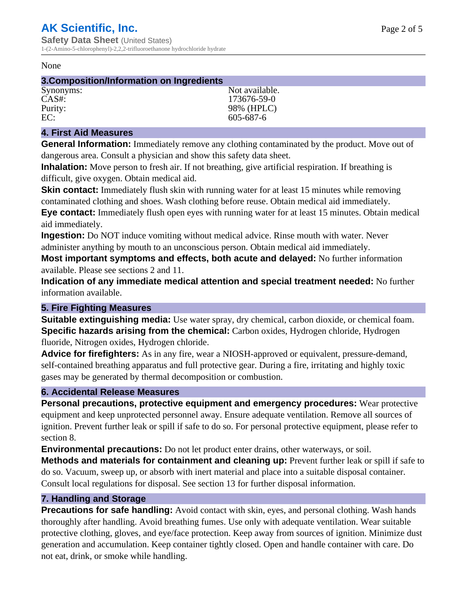#### None

#### **3.Composition/Information on Ingredients**

| Synonyms: | Not available. |
|-----------|----------------|
| $CAS#$ :  | 173676-59-0    |
| Purity:   | 98% (HPLC)     |
| EC:       | 605-687-6      |

#### **4. First Aid Measures**

**General Information:** Immediately remove any clothing contaminated by the product. Move out of dangerous area. Consult a physician and show this safety data sheet.

**Inhalation:** Move person to fresh air. If not breathing, give artificial respiration. If breathing is difficult, give oxygen. Obtain medical aid.

**Skin contact:** Immediately flush skin with running water for at least 15 minutes while removing contaminated clothing and shoes. Wash clothing before reuse. Obtain medical aid immediately. **Eye contact:** Immediately flush open eyes with running water for at least 15 minutes. Obtain medical aid immediately.

**Ingestion:** Do NOT induce vomiting without medical advice. Rinse mouth with water. Never administer anything by mouth to an unconscious person. Obtain medical aid immediately.

**Most important symptoms and effects, both acute and delayed:** No further information available. Please see sections 2 and 11.

**Indication of any immediate medical attention and special treatment needed:** No further information available.

#### **5. Fire Fighting Measures**

**Suitable extinguishing media:** Use water spray, dry chemical, carbon dioxide, or chemical foam. **Specific hazards arising from the chemical:** Carbon oxides, Hydrogen chloride, Hydrogen fluoride, Nitrogen oxides, Hydrogen chloride.

**Advice for firefighters:** As in any fire, wear a NIOSH-approved or equivalent, pressure-demand, self-contained breathing apparatus and full protective gear. During a fire, irritating and highly toxic gases may be generated by thermal decomposition or combustion.

# **6. Accidental Release Measures**

**Personal precautions, protective equipment and emergency procedures:** Wear protective equipment and keep unprotected personnel away. Ensure adequate ventilation. Remove all sources of ignition. Prevent further leak or spill if safe to do so. For personal protective equipment, please refer to section 8.

**Environmental precautions:** Do not let product enter drains, other waterways, or soil.

**Methods and materials for containment and cleaning up:** Prevent further leak or spill if safe to do so. Vacuum, sweep up, or absorb with inert material and place into a suitable disposal container. Consult local regulations for disposal. See section 13 for further disposal information.

# **7. Handling and Storage**

**Precautions for safe handling:** Avoid contact with skin, eyes, and personal clothing. Wash hands thoroughly after handling. Avoid breathing fumes. Use only with adequate ventilation. Wear suitable protective clothing, gloves, and eye/face protection. Keep away from sources of ignition. Minimize dust generation and accumulation. Keep container tightly closed. Open and handle container with care. Do not eat, drink, or smoke while handling.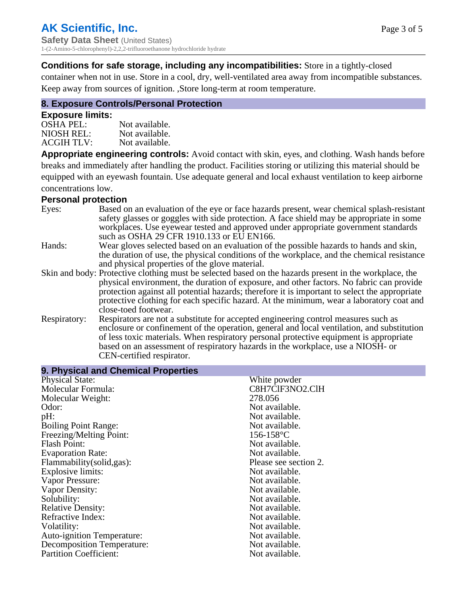## **Conditions for safe storage, including any incompatibilities:** Store in a tightly-closed

container when not in use. Store in a cool, dry, well-ventilated area away from incompatible substances. Keep away from sources of ignition. ,Store long-term at room temperature.

# **8. Exposure Controls/Personal Protection**

#### **Exposure limits:**

| <b>OSHA PEL:</b>  | Not available. |
|-------------------|----------------|
| NIOSH REL:        | Not available. |
| <b>ACGIH TLV:</b> | Not available. |

**Appropriate engineering controls:** Avoid contact with skin, eyes, and clothing. Wash hands before breaks and immediately after handling the product. Facilities storing or utilizing this material should be equipped with an eyewash fountain. Use adequate general and local exhaust ventilation to keep airborne concentrations low.

#### **Personal protection**

| Eyes:        | Based on an evaluation of the eye or face hazards present, wear chemical splash-resistant<br>safety glasses or goggles with side protection. A face shield may be appropriate in some<br>workplaces. Use eyewear tested and approved under appropriate government standards<br>such as OSHA 29 CFR 1910.133 or EU EN166.                                                                                                |
|--------------|-------------------------------------------------------------------------------------------------------------------------------------------------------------------------------------------------------------------------------------------------------------------------------------------------------------------------------------------------------------------------------------------------------------------------|
| Hands:       | Wear gloves selected based on an evaluation of the possible hazards to hands and skin,<br>the duration of use, the physical conditions of the workplace, and the chemical resistance<br>and physical properties of the glove material.                                                                                                                                                                                  |
|              | Skin and body: Protective clothing must be selected based on the hazards present in the workplace, the<br>physical environment, the duration of exposure, and other factors. No fabric can provide<br>protection against all potential hazards; therefore it is important to select the appropriate<br>protective clothing for each specific hazard. At the minimum, wear a laboratory coat and<br>close-toed footwear. |
| Respiratory: | Respirators are not a substitute for accepted engineering control measures such as<br>enclosure or confinement of the operation, general and local ventilation, and substitution<br>of less toxic materials. When respiratory personal protective equipment is appropriate<br>based on an assessment of respiratory hazards in the workplace, use a NIOSH- or<br>CEN-certified respirator.                              |

| 9. Physical and Unemical Properties |                       |
|-------------------------------------|-----------------------|
| <b>Physical State:</b>              | White powder          |
| Molecular Formula:                  | C8H7ClF3NO2.ClH       |
| Molecular Weight:                   | 278.056               |
| Odor:                               | Not available.        |
| $pH$ :                              | Not available.        |
| <b>Boiling Point Range:</b>         | Not available.        |
| Freezing/Melting Point:             | $156 - 158$ °C        |
| <b>Flash Point:</b>                 | Not available.        |
| <b>Evaporation Rate:</b>            | Not available.        |
| Flammability(solid,gas):            | Please see section 2. |
| Explosive limits:                   | Not available.        |
| Vapor Pressure:                     | Not available.        |
| Vapor Density:                      | Not available.        |
| Solubility:                         | Not available.        |
| <b>Relative Density:</b>            | Not available.        |
| Refractive Index:                   | Not available.        |
| Volatility:                         | Not available.        |
| <b>Auto-ignition Temperature:</b>   | Not available.        |
| Decomposition Temperature:          | Not available.        |
| <b>Partition Coefficient:</b>       | Not available.        |
|                                     |                       |

# **9. Physical and Chemical Properties**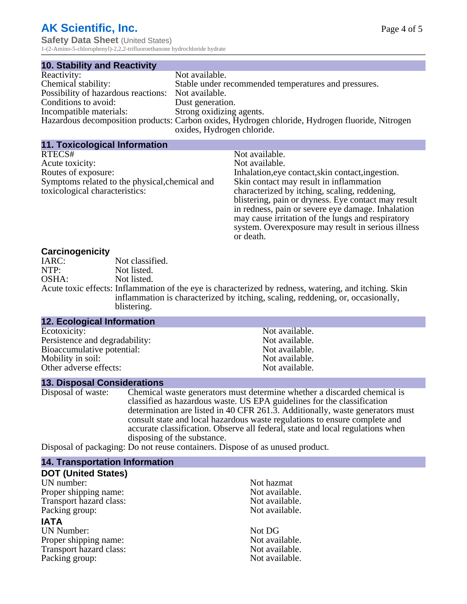# **AK Scientific, Inc.**

**Safety Data Sheet** (United States) 1-(2-Amino-5-chlorophenyl)-2,2,2-trifluoroethanone hydrochloride hydrate

| <b>10. Stability and Reactivity</b>                |                                                                                                 |
|----------------------------------------------------|-------------------------------------------------------------------------------------------------|
| Reactivity:                                        | Not available.                                                                                  |
| Chemical stability:                                | Stable under recommended temperatures and pressures.                                            |
| Possibility of hazardous reactions: Not available. |                                                                                                 |
| Conditions to avoid:                               | Dust generation.                                                                                |
| Incompatible materials:                            | Strong oxidizing agents.                                                                        |
|                                                    | Hazardous decomposition products: Carbon oxides, Hydrogen chloride, Hydrogen fluoride, Nitrogen |
|                                                    | oxides, Hydrogen chloride.                                                                      |

| <b>11. Toxicological Information</b>           |                                                     |
|------------------------------------------------|-----------------------------------------------------|
| RTECS#                                         | Not available.                                      |
| Acute toxicity:                                | Not available.                                      |
| Routes of exposure:                            | Inhalation, eye contact, skin contact, ingestion.   |
| Symptoms related to the physical, chemical and | Skin contact may result in inflammation             |
| toxicological characteristics:                 | characterized by itching, scaling, reddening,       |
|                                                | blistering, pain or dryness. Eye contact may result |
|                                                | in redness, pain or severe eye damage. Inhalation   |
|                                                | may cause irritation of the lungs and respiratory   |
|                                                | system. Overexposure may result in serious illness  |
|                                                | or death.                                           |

#### **Carcinogenicity**

| <u>sarvinogonionų</u> |                                                                                                       |
|-----------------------|-------------------------------------------------------------------------------------------------------|
| IARC:                 | Not classified.                                                                                       |
| NTP:                  | Not listed.                                                                                           |
| OSHA:                 | Not listed.                                                                                           |
|                       | Acute toxic effects: Inflammation of the eye is characterized by redness, watering, and itching. Skin |
|                       | inflammation is characterized by itching, scaling, reddening, or, occasionally,                       |
|                       | blistering.                                                                                           |

#### **12. Ecological Information**

| Persistence and degradability: |
|--------------------------------|
|                                |
|                                |
|                                |
|                                |

Not available. Not available. Not available. Not available. Not available.

#### **13. Disposal Considerations**

Disposal of waste: Chemical waste generators must determine whether a discarded chemical is classified as hazardous waste. US EPA guidelines for the classification determination are listed in 40 CFR 261.3. Additionally, waste generators must consult state and local hazardous waste regulations to ensure complete and accurate classification. Observe all federal, state and local regulations when disposing of the substance.

Disposal of packaging: Do not reuse containers. Dispose of as unused product.

#### **14. Transportation Information**

# **DOT (United States)**

UN number:<br>
Proper shipping name:<br>
Not available. Proper shipping name:<br>
Transport hazard class:<br>
Not available. Transport hazard class: Packing group: Not available.

#### **IATA**

UN Number:<br>
Proper shipping name:<br>
Not available. Proper shipping name:<br>
Transport hazard class:<br>
Not available. Transport hazard class:<br>
Packing group: Not available.<br>
Not available.<br>
Not available. Packing group: